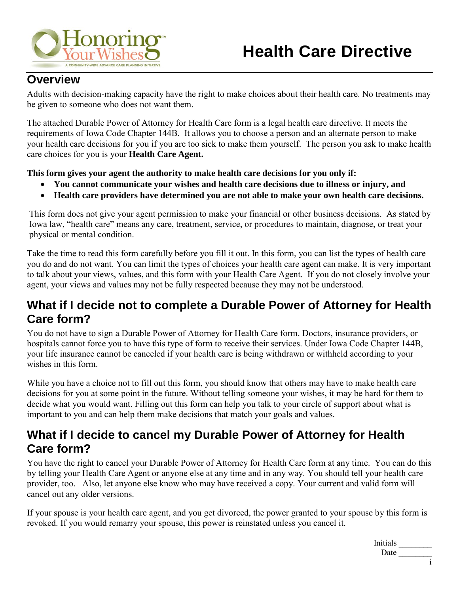

#### **Overview**

Adults with decision-making capacity have the right to make choices about their health care. No treatments may be given to someone who does not want them.

The attached Durable Power of Attorney for Health Care form is a legal health care directive. It meets the requirements of Iowa Code Chapter 144B. It allows you to choose a person and an alternate person to make your health care decisions for you if you are too sick to make them yourself. The person you ask to make health care choices for you is your **Health Care Agent.**

**This form gives your agent the authority to make health care decisions for you only if:** 

- **You cannot communicate your wishes and health care decisions due to illness or injury, and**
- **Health care providers have determined you are not able to make your own health care decisions.**

This form does not give your agent permission to make your financial or other business decisions. As stated by Iowa law, "health care" means any care, treatment, service, or procedures to maintain, diagnose, or treat your physical or mental condition.

Take the time to read this form carefully before you fill it out. In this form, you can list the types of health care you do and do not want. You can limit the types of choices your health care agent can make. It is very important to talk about your views, values, and this form with your Health Care Agent. If you do not closely involve your agent, your views and values may not be fully respected because they may not be understood.

### **What if I decide not to complete a Durable Power of Attorney for Health Care form?**

You do not have to sign a Durable Power of Attorney for Health Care form. Doctors, insurance providers, or hospitals cannot force you to have this type of form to receive their services. Under Iowa Code Chapter 144B, your life insurance cannot be canceled if your health care is being withdrawn or withheld according to your wishes in this form.

While you have a choice not to fill out this form, you should know that others may have to make health care decisions for you at some point in the future. Without telling someone your wishes, it may be hard for them to decide what you would want. Filling out this form can help you talk to your circle of support about what is important to you and can help them make decisions that match your goals and values.

### **What if I decide to cancel my Durable Power of Attorney for Health Care form?**

You have the right to cancel your Durable Power of Attorney for Health Care form at any time. You can do this by telling your Health Care Agent or anyone else at any time and in any way. You should tell your health care provider, too. Also, let anyone else know who may have received a copy. Your current and valid form will cancel out any older versions.

If your spouse is your health care agent, and you get divorced, the power granted to your spouse by this form is revoked. If you would remarry your spouse, this power is reinstated unless you cancel it.

> Initials \_\_\_\_\_\_\_\_ Date  $\frac{1}{\sqrt{1-\frac{1}{2}}\cdot\frac{1}{2}}$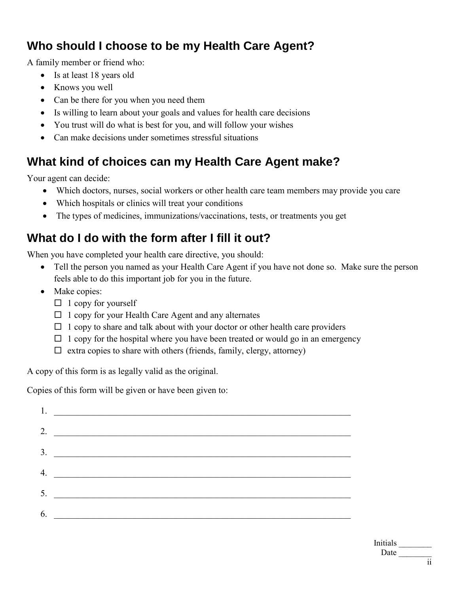## **Who should I choose to be my Health Care Agent?**

A family member or friend who:

- Is at least 18 years old
- Knows you well
- Can be there for you when you need them
- Is willing to learn about your goals and values for health care decisions
- You trust will do what is best for you, and will follow your wishes
- Can make decisions under sometimes stressful situations

# **What kind of choices can my Health Care Agent make?**

Your agent can decide:

- Which doctors, nurses, social workers or other health care team members may provide you care
- Which hospitals or clinics will treat your conditions
- The types of medicines, immunizations/vaccinations, tests, or treatments you get

## **What do I do with the form after I fill it out?**

When you have completed your health care directive, you should:

- Tell the person you named as your Health Care Agent if you have not done so. Make sure the person feels able to do this important job for you in the future.
- Make copies:
	- $\Box$  1 copy for yourself
	- $\Box$  1 copy for your Health Care Agent and any alternates
	- $\Box$  1 copy to share and talk about with your doctor or other health care providers
	- $\Box$  1 copy for the hospital where you have been treated or would go in an emergency
	- $\Box$  extra copies to share with others (friends, family, clergy, attorney)

A copy of this form is as legally valid as the original.

Copies of this form will be given or have been given to:

| 1. $\overline{\phantom{a}}$ |
|-----------------------------|
| 2. $\qquad \qquad$          |
| $\overline{\mathbf{3.}}$    |
| $\overline{4}$ .            |
|                             |
| 6.                          |
|                             |

Initials \_\_\_\_\_\_\_\_ Date  $\frac{1}{\sqrt{1-\frac{1}{2}}\cdot\frac{1}{2}}$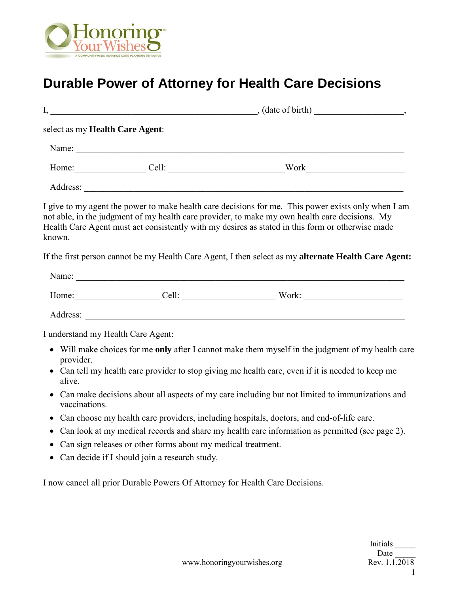

# **Durable Power of Attorney for Health Care Decisions**

|                                    |                                                              | $I,$ (date of birth) (date of birth)                                                                                                                                                                                                                                                                      |
|------------------------------------|--------------------------------------------------------------|-----------------------------------------------------------------------------------------------------------------------------------------------------------------------------------------------------------------------------------------------------------------------------------------------------------|
| select as my Health Care Agent:    |                                                              |                                                                                                                                                                                                                                                                                                           |
|                                    |                                                              |                                                                                                                                                                                                                                                                                                           |
|                                    |                                                              | Home: Cell: Cell: Work Work                                                                                                                                                                                                                                                                               |
|                                    |                                                              |                                                                                                                                                                                                                                                                                                           |
| known.                             |                                                              | I give to my agent the power to make health care decisions for me. This power exists only when I am<br>not able, in the judgment of my health care provider, to make my own health care decisions. My<br>Health Care Agent must act consistently with my desires as stated in this form or otherwise made |
|                                    |                                                              | If the first person cannot be my Health Care Agent, I then select as my alternate Health Care Agent:                                                                                                                                                                                                      |
|                                    |                                                              |                                                                                                                                                                                                                                                                                                           |
|                                    |                                                              | Home: Cell: Cell: Work: Work:                                                                                                                                                                                                                                                                             |
|                                    |                                                              |                                                                                                                                                                                                                                                                                                           |
| I understand my Health Care Agent: |                                                              |                                                                                                                                                                                                                                                                                                           |
| provider.<br>alive.                |                                                              | • Will make choices for me only after I cannot make them myself in the judgment of my health care<br>• Can tell my health care provider to stop giving me health care, even if it is needed to keep me                                                                                                    |
| vaccinations.                      |                                                              | • Can make decisions about all aspects of my care including but not limited to immunizations and                                                                                                                                                                                                          |
|                                    |                                                              | • Can choose my health care providers, including hospitals, doctors, and end-of-life care.                                                                                                                                                                                                                |
|                                    |                                                              | • Can look at my medical records and share my health care information as permitted (see page 2).                                                                                                                                                                                                          |
|                                    | Can sign releases or other forms about my medical treatment. |                                                                                                                                                                                                                                                                                                           |
|                                    | Can decide if I should join a research study.                |                                                                                                                                                                                                                                                                                                           |
|                                    |                                                              | I now cancel all prior Durable Powers Of Attorney for Health Care Decisions.                                                                                                                                                                                                                              |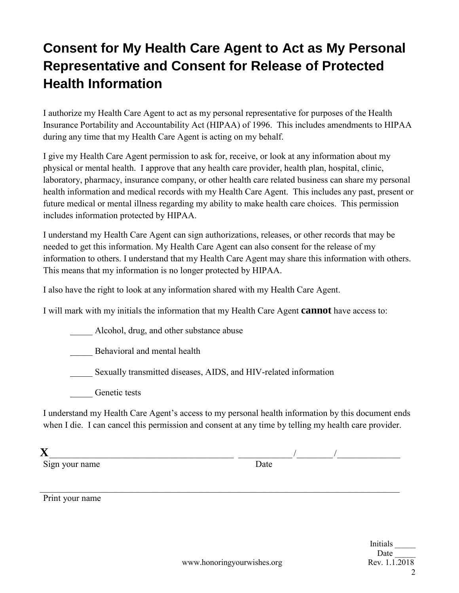# **Consent for My Health Care Agent to Act as My Personal Representative and Consent for Release of Protected Health Information**

I authorize my Health Care Agent to act as my personal representative for purposes of the Health Insurance Portability and Accountability Act (HIPAA) of 1996. This includes amendments to HIPAA during any time that my Health Care Agent is acting on my behalf.

I give my Health Care Agent permission to ask for, receive, or look at any information about my physical or mental health. I approve that any health care provider, health plan, hospital, clinic, laboratory, pharmacy, insurance company, or other health care related business can share my personal health information and medical records with my Health Care Agent. This includes any past, present or future medical or mental illness regarding my ability to make health care choices. This permission includes information protected by HIPAA.

I understand my Health Care Agent can sign authorizations, releases, or other records that may be needed to get this information. My Health Care Agent can also consent for the release of my information to others. I understand that my Health Care Agent may share this information with others. This means that my information is no longer protected by HIPAA.

I also have the right to look at any information shared with my Health Care Agent.

I will mark with my initials the information that my Health Care Agent **cannot** have access to:

\_\_\_\_\_ Alcohol, drug, and other substance abuse

\_\_\_\_\_ Behavioral and mental health

Sexually transmitted diseases, AIDS, and HIV-related information

Genetic tests

I understand my Health Care Agent's access to my personal health information by this document ends when I die. I can cancel this permission and consent at any time by telling my health care provider.

\_\_\_\_\_\_\_\_\_\_\_\_\_\_\_\_\_\_\_\_\_\_\_\_\_\_\_\_\_\_\_\_\_\_\_\_\_\_\_\_\_\_\_\_\_\_\_\_\_\_\_\_\_\_\_\_\_\_\_\_\_\_\_\_\_\_\_\_\_\_\_\_\_\_\_\_\_\_\_\_

| ٧ |  |
|---|--|
|   |  |

Sign your name

**X** \_\_\_\_\_\_\_\_\_\_\_\_\_\_\_\_\_\_\_\_\_\_\_\_\_\_\_\_\_\_\_\_\_\_\_\_\_\_\_\_\_ \_\_\_\_\_\_\_\_\_\_\_\_ / \_\_\_\_\_\_\_\_ / \_\_\_\_\_\_\_\_\_\_\_\_\_\_

Print your name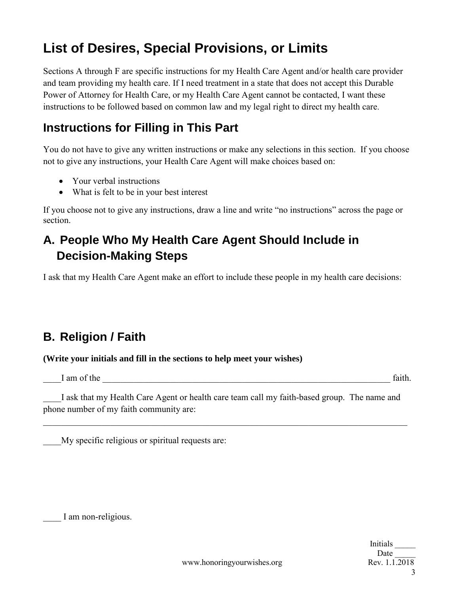# **List of Desires, Special Provisions, or Limits**

Sections A through F are specific instructions for my Health Care Agent and/or health care provider and team providing my health care. If I need treatment in a state that does not accept this Durable Power of Attorney for Health Care, or my Health Care Agent cannot be contacted, I want these instructions to be followed based on common law and my legal right to direct my health care.

### **Instructions for Filling in This Part**

You do not have to give any written instructions or make any selections in this section. If you choose not to give any instructions, your Health Care Agent will make choices based on:

- Your verbal instructions
- What is felt to be in your best interest

If you choose not to give any instructions, draw a line and write "no instructions" across the page or section.

## **A. People Who My Health Care Agent Should Include in Decision-Making Steps**

I ask that my Health Care Agent make an effort to include these people in my health care decisions:

### **B. Religion / Faith**

#### **(Write your initials and fill in the sections to help meet your wishes)**

I am of the the state of the state of the state of the state of the state of the state of the state of the state of the state of the state of the state of the state of the state of the state of the state of the state of th

I ask that my Health Care Agent or health care team call my faith-based group. The name and phone number of my faith community are:

\_\_\_\_\_\_\_\_\_\_\_\_\_\_\_\_\_\_\_\_\_\_\_\_\_\_\_\_\_\_\_\_\_\_\_\_\_\_\_\_\_\_\_\_\_\_\_\_\_\_\_\_\_\_\_\_\_\_\_\_\_\_\_\_\_\_\_\_\_\_\_\_\_\_\_\_\_\_\_\_\_

My specific religious or spiritual requests are:

I am non-religious.

Initials \_\_\_\_\_ Date 3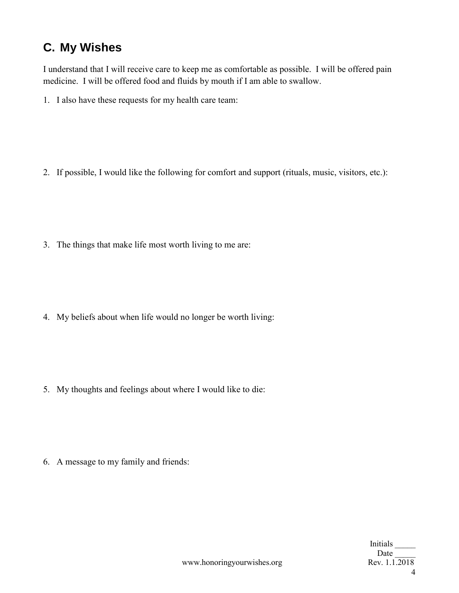## **C. My Wishes**

I understand that I will receive care to keep me as comfortable as possible. I will be offered pain medicine. I will be offered food and fluids by mouth if I am able to swallow.

1. I also have these requests for my health care team:

2. If possible, I would like the following for comfort and support (rituals, music, visitors, etc.):

3. The things that make life most worth living to me are:

4. My beliefs about when life would no longer be worth living:

5. My thoughts and feelings about where I would like to die:

6. A message to my family and friends: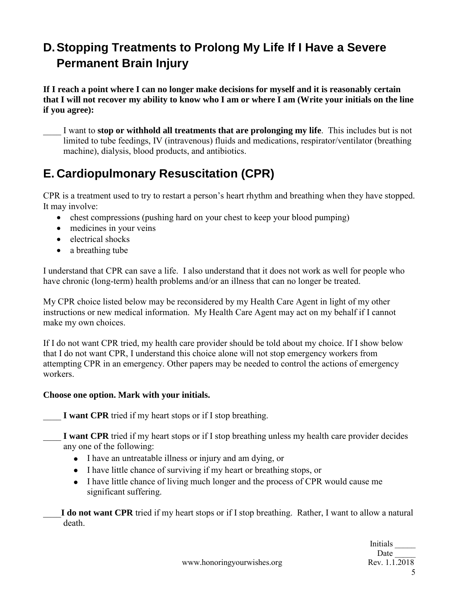## **D. Stopping Treatments to Prolong My Life If I Have a Severe Permanent Brain Injury**

**If I reach a point where I can no longer make decisions for myself and it is reasonably certain that I will not recover my ability to know who I am or where I am (Write your initials on the line if you agree):**

\_\_\_\_ I want to **stop or withhold all treatments that are prolonging my life**. This includes but is not limited to tube feedings, IV (intravenous) fluids and medications, respirator/ventilator (breathing machine), dialysis, blood products, and antibiotics.

## **E. Cardiopulmonary Resuscitation (CPR)**

CPR is a treatment used to try to restart a person's heart rhythm and breathing when they have stopped. It may involve:

- chest compressions (pushing hard on your chest to keep your blood pumping)
- medicines in your veins
- electrical shocks
- a breathing tube

I understand that CPR can save a life. I also understand that it does not work as well for people who have chronic (long-term) health problems and/or an illness that can no longer be treated.

My CPR choice listed below may be reconsidered by my Health Care Agent in light of my other instructions or new medical information. My Health Care Agent may act on my behalf if I cannot make my own choices.

If I do not want CPR tried, my health care provider should be told about my choice. If I show below that I do not want CPR, I understand this choice alone will not stop emergency workers from attempting CPR in an emergency. Other papers may be needed to control the actions of emergency workers.

#### **Choose one option. Mark with your initials.**

**I want CPR** tried if my heart stops or if I stop breathing.

**I want CPR** tried if my heart stops or if I stop breathing unless my health care provider decides any one of the following:

- I have an untreatable illness or injury and am dying, or
- I have little chance of surviving if my heart or breathing stops, or
- I have little chance of living much longer and the process of CPR would cause me significant suffering.

\_\_\_\_**I do not want CPR** tried if my heart stops or if I stop breathing. Rather, I want to allow a natural death.

> Initials \_\_\_\_\_ Date 5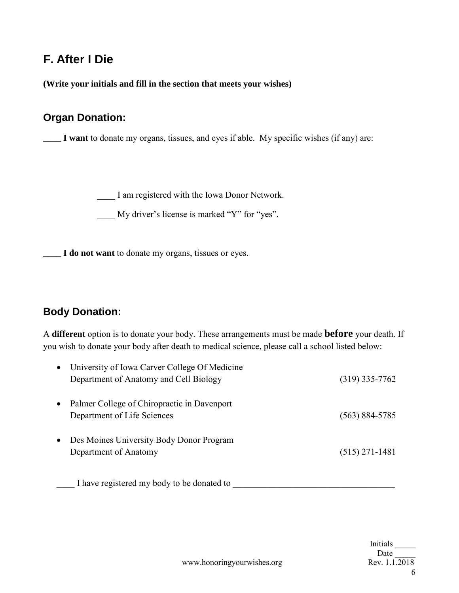#### **F. After I Die**

**(Write your initials and fill in the section that meets your wishes)**

#### **Organ Donation:**

**\_\_\_\_ I want** to donate my organs, tissues, and eyes if able. My specific wishes (if any) are:

\_\_\_\_ I am registered with the Iowa Donor Network.

\_\_\_\_ My driver's license is marked "Y" for "yes".

**\_\_\_\_ I do not want** to donate my organs, tissues or eyes.

#### **Body Donation:**

A **different** option is to donate your body. These arrangements must be made **before** your death. If you wish to donate your body after death to medical science, please call a school listed below:

|           | University of Iowa Carver College Of Medicine<br>Department of Anatomy and Cell Biology | $(319)$ 335-7762   |
|-----------|-----------------------------------------------------------------------------------------|--------------------|
| $\bullet$ | Palmer College of Chiropractic in Davenport<br>Department of Life Sciences              | $(563) 884 - 5785$ |
| $\bullet$ | Des Moines University Body Donor Program<br>Department of Anatomy                       | $(515)$ 271-1481   |

I have registered my body to be donated to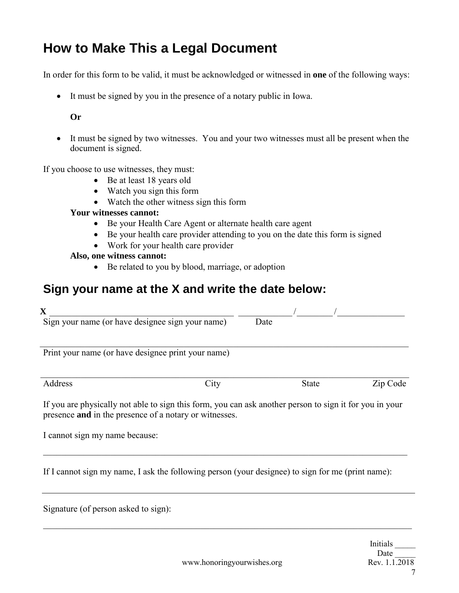## **How to Make This a Legal Document**

In order for this form to be valid, it must be acknowledged or witnessed in **one** of the following ways:

• It must be signed by you in the presence of a notary public in Iowa.

#### **Or**

• It must be signed by two witnesses. You and your two witnesses must all be present when the document is signed.

If you choose to use witnesses, they must:

- Be at least 18 years old
- Watch you sign this form
- Watch the other witness sign this form

#### **Your witnesses cannot:**

- Be your Health Care Agent or alternate health care agent
- Be your health care provider attending to you on the date this form is signed
- Work for your health care provider

#### **Also, one witness cannot:**

• Be related to you by blood, marriage, or adoption

#### **Sign your name at the X and write the date below:**

| $\mathbf X$                                                                                                                                                       |      |      |              |          |
|-------------------------------------------------------------------------------------------------------------------------------------------------------------------|------|------|--------------|----------|
| Sign your name (or have designee sign your name)                                                                                                                  |      | Date |              |          |
| Print your name (or have designee print your name)                                                                                                                |      |      |              |          |
| Address                                                                                                                                                           | City |      | <b>State</b> | Zip Code |
| If you are physically not able to sign this form, you can ask another person to sign it for you in your<br>presence and in the presence of a notary or witnesses. |      |      |              |          |
| I cannot sign my name because:                                                                                                                                    |      |      |              |          |
| If I cannot sign my name, I ask the following person (your designee) to sign for me (print name):                                                                 |      |      |              |          |

Signature (of person asked to sign):

\_\_\_\_\_\_\_\_\_\_\_\_\_\_\_\_\_\_\_\_\_\_\_\_\_\_\_\_\_\_\_\_\_\_\_\_\_\_\_\_\_\_\_\_\_\_\_\_\_\_\_\_\_\_\_\_\_\_\_\_\_\_\_\_\_\_\_\_\_\_\_\_\_\_\_\_\_\_\_\_\_\_